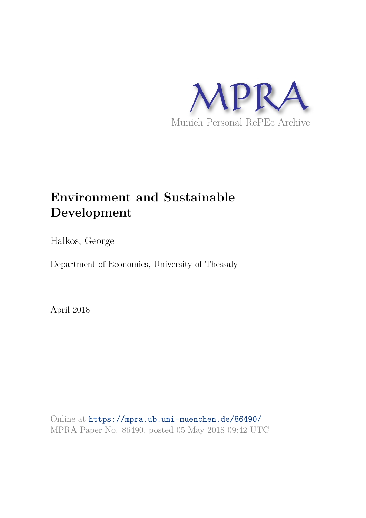

# **Environment and Sustainable Development**

Halkos, George

Department of Economics, University of Thessaly

April 2018

Online at https://mpra.ub.uni-muenchen.de/86490/ MPRA Paper No. 86490, posted 05 May 2018 09:42 UTC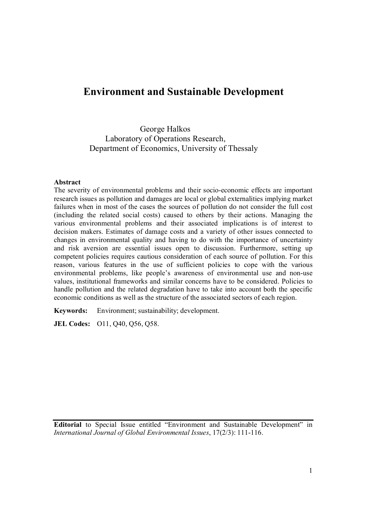# **Environment and Sustainable Development**

George Halkos Laboratory of Operations Research, Department of Economics, University of Thessaly

## **Abstract**

The severity of environmental problems and their socio-economic effects are important research issues as pollution and damages are local or global externalities implying market failures when in most of the cases the sources of pollution do not consider the full cost (including the related social costs) caused to others by their actions. Managing the various environmental problems and their associated implications is of interest to decision makers. Estimates of damage costs and a variety of other issues connected to changes in environmental quality and having to do with the importance of uncertainty and risk aversion are essential issues open to discussion. Furthermore, setting up competent policies requires cautious consideration of each source of pollution. For this reason, various features in the use of sufficient policies to cope with the various environmental problems, like people's awareness of environmental use and non-use values, institutional frameworks and similar concerns have to be considered. Policies to handle pollution and the related degradation have to take into account both the specific economic conditions as well as the structure of the associated sectors of each region.

**Keywords:**Environment; sustainability; development.

**JEL Codes:** O11, Q40, Q56, Q58.

**Editorial** to Special Issue entitled "Environment and Sustainable Development" in *International Journal of Global Environmental Issues*, 17(2/3): 111-116.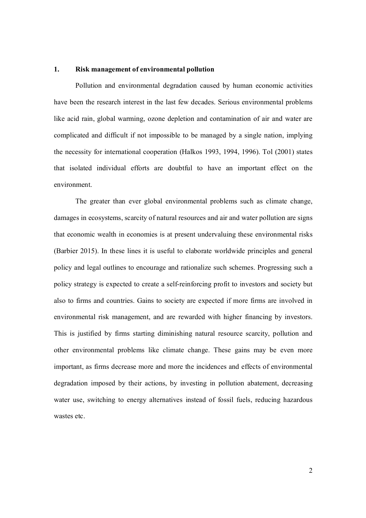#### **1. Risk management of environmental pollution**

 Pollution and environmental degradation caused by human economic activities have been the research interest in the last few decades. Serious environmental problems like acid rain, global warming, ozone depletion and contamination of air and water are complicated and difficult if not impossible to be managed by a single nation, implying the necessity for international cooperation (Halkos 1993, 1994, 1996). Tol (2001) states that isolated individual efforts are doubtful to have an important effect on the environment.

 The greater than ever global environmental problems such as climate change, damages in ecosystems, scarcity of natural resources and air and water pollution are signs that economic wealth in economies is at present undervaluing these environmental risks (Barbier 2015). In these lines it is useful to elaborate worldwide principles and general policy and legal outlines to encourage and rationalize such schemes. Progressing such a policy strategy is expected to create a self-reinforcing profit to investors and society but also to firms and countries. Gains to society are expected if more firms are involved in environmental risk management, and are rewarded with higher financing by investors. This is justified by firms starting diminishing natural resource scarcity, pollution and other environmental problems like climate change. These gains may be even more important, as firms decrease more and more the incidences and effects of environmental degradation imposed by their actions, by investing in pollution abatement, decreasing water use, switching to energy alternatives instead of fossil fuels, reducing hazardous wastes etc.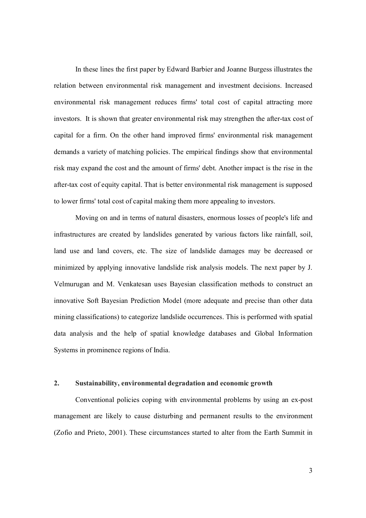In these lines the first paper by Edward Barbier and Joanne Burgess illustrates the relation between environmental risk management and investment decisions. Increased environmental risk management reduces firms' total cost of capital attracting more investors. It is shown that greater environmental risk may strengthen the after-tax cost of capital for a firm. On the other hand improved firms' environmental risk management demands a variety of matching policies. The empirical findings show that environmental risk may expand the cost and the amount of firms' debt. Another impact is the rise in the after-tax cost of equity capital. That is better environmental risk management is supposed to lower firms' total cost of capital making them more appealing to investors.

 Moving on and in terms of natural disasters, enormous losses of people's life and infrastructures are created by landslides generated by various factors like rainfall, soil, land use and land covers, etc. The size of landslide damages may be decreased or minimized by applying innovative landslide risk analysis models. The next paper by J. Velmurugan and M. Venkatesan uses Bayesian classification methods to construct an innovative Soft Bayesian Prediction Model (more adequate and precise than other data mining classifications) to categorize landslide occurrences. This is performed with spatial data analysis and the help of spatial knowledge databases and Global Information Systems in prominence regions of India.

# **2. Sustainability, environmental degradation and economic growth**

Conventional policies coping with environmental problems by using an ex-post management are likely to cause disturbing and permanent results to the environment (Zofio and Prieto, 2001). These circumstances started to alter from the Earth Summit in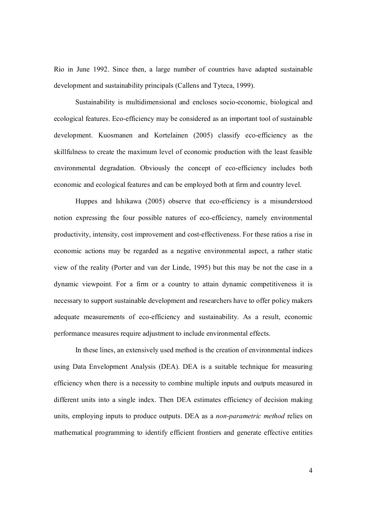Rio in June 1992. Since then, a large number of countries have adapted sustainable development and sustainability principals (Callens and Tyteca, 1999).

Sustainability is multidimensional and encloses socio-economic, biological and ecological features. Eco-efficiency may be considered as an important tool of sustainable development. Kuosmanen and Kortelainen (2005) classify eco-efficiency as the skillfulness to create the maximum level of economic production with the least feasible environmental degradation. Obviously the concept of eco-efficiency includes both economic and ecological features and can be employed both at firm and country level.

 Huppes and Ishikawa (2005) observe that eco-efficiency is a misunderstood notion expressing the four possible natures of eco-efficiency, namely environmental productivity, intensity, cost improvement and cost-effectiveness. For these ratios a rise in economic actions may be regarded as a negative environmental aspect, a rather static view of the reality (Porter and van der Linde, 1995) but this may be not the case in a dynamic viewpoint. For a firm or a country to attain dynamic competitiveness it is necessary to support sustainable development and researchers have to offer policy makers adequate measurements of eco-efficiency and sustainability. As a result, economic performance measures require adjustment to include environmental effects.

In these lines, an extensively used method is the creation of environmental indices using Data Envelopment Analysis (DEA). DEA is a suitable technique for measuring efficiency when there is a necessity to combine multiple inputs and outputs measured in different units into a single index. Then DEA estimates efficiency of decision making units, employing inputs to produce outputs. DEA as a *non-parametric method* relies on mathematical programming to identify efficient frontiers and generate effective entities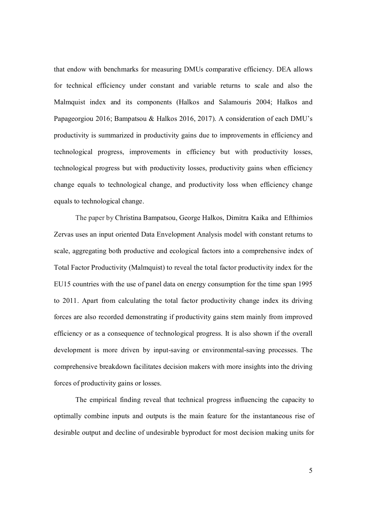that endow with benchmarks for measuring DMUs comparative efficiency. DEA allows for technical efficiency under constant and variable returns to scale and also the Malmquist index and its components (Halkos and Salamouris 2004; Halkos and Papageorgiou 2016; Bampatsou & Halkos 2016, 2017). A consideration of each DMU's productivity is summarized in productivity gains due to improvements in efficiency and technological progress, improvements in efficiency but with productivity losses, technological progress but with productivity losses, productivity gains when efficiency change equals to technological change, and productivity loss when efficiency change equals to technological change.

 The paper by Christina Bampatsou, George Halkos, Dimitra Kaika and Efthimios Zervas uses an input oriented Data Envelopment Analysis model with constant returns to scale, aggregating both productive and ecological factors into a comprehensive index of Total Factor Productivity (Malmquist) to reveal the total factor productivity index for the EU15 countries with the use of panel data on energy consumption for the time span 1995 to 2011. Apart from calculating the total factor productivity change index its driving forces are also recorded demonstrating if productivity gains stem mainly from improved efficiency or as a consequence of technological progress. It is also shown if the overall development is more driven by input-saving or environmental-saving processes. The comprehensive breakdown facilitates decision makers with more insights into the driving forces of productivity gains or losses.

 The empirical finding reveal that technical progress influencing the capacity to optimally combine inputs and outputs is the main feature for the instantaneous rise of desirable output and decline of undesirable byproduct for most decision making units for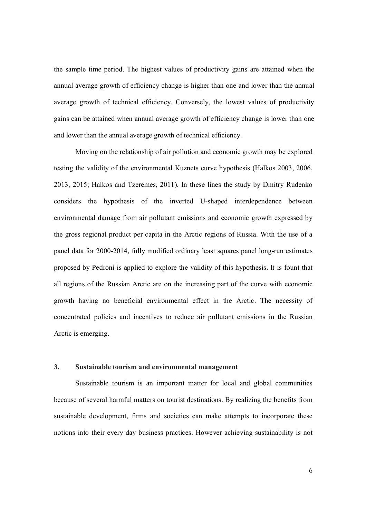the sample time period. The highest values of productivity gains are attained when the annual average growth of efficiency change is higher than one and lower than the annual average growth of technical efficiency. Conversely, the lowest values of productivity gains can be attained when annual average growth of efficiency change is lower than one and lower than the annual average growth of technical efficiency.

Moving on the relationship of air pollution and economic growth may be explored testing the validity of the environmental Kuznets curve hypothesis (Halkos 2003, 2006, 2013, 2015; Halkos and Tzeremes, 2011). In these lines the study by Dmitry Rudenko considers the hypothesis of the inverted U-shaped interdependence between environmental damage from air pollutant emissions and economic growth expressed by the gross regional product per capita in the Arctic regions of Russia. With the use of a panel data for 2000-2014, fully modified ordinary least squares panel long-run estimates proposed by Pedroni is applied to explore the validity of this hypothesis. It is fount that all regions of the Russian Arctic are on the increasing part of the curve with economic growth having no beneficial environmental effect in the Arctic. The necessity of concentrated policies and incentives to reduce air pollutant emissions in the Russian Arctic is emerging.

# **3. Sustainable tourism and environmental management**

 Sustainable tourism is an important matter for local and global communities because of several harmful matters on tourist destinations. By realizing the benefits from sustainable development, firms and societies can make attempts to incorporate these notions into their every day business practices. However achieving sustainability is not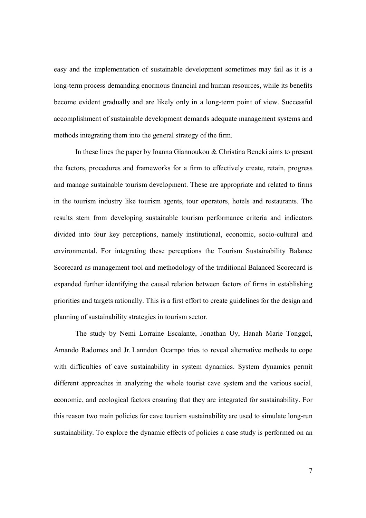easy and the implementation of sustainable development sometimes may fail as it is a long-term process demanding enormous financial and human resources, while its benefits become evident gradually and are likely only in a long-term point of view. Successful accomplishment of sustainable development demands adequate management systems and methods integrating them into the general strategy of the firm.

 In these lines the paper by Ioanna Giannoukou & Christina Beneki aims to present the factors, procedures and frameworks for a firm to effectively create, retain, progress and manage sustainable tourism development. These are appropriate and related to firms in the tourism industry like tourism agents, tour operators, hotels and restaurants. The results stem from developing sustainable tourism performance criteria and indicators divided into four key perceptions, namely institutional, economic, socio-cultural and environmental. For integrating these perceptions the Tourism Sustainability Balance Scorecard as management tool and methodology of the traditional Balanced Scorecard is expanded further identifying the causal relation between factors of firms in establishing priorities and targets rationally. This is a first effort to create guidelines for the design and planning of sustainability strategies in tourism sector.

 The study by Nemi Lorraine Escalante, Jonathan Uy, Hanah Marie Tonggol, Amando Radomes and Jr. Lanndon Ocampo tries to reveal alternative methods to cope with difficulties of cave sustainability in system dynamics. System dynamics permit different approaches in analyzing the whole tourist cave system and the various social, economic, and ecological factors ensuring that they are integrated for sustainability. For this reason two main policies for cave tourism sustainability are used to simulate long-run sustainability. To explore the dynamic effects of policies a case study is performed on an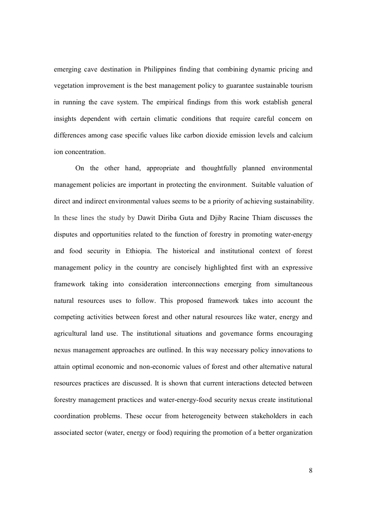emerging cave destination in Philippines finding that combining dynamic pricing and vegetation improvement is the best management policy to guarantee sustainable tourism in running the cave system. The empirical findings from this work establish general insights dependent with certain climatic conditions that require careful concern on differences among case specific values like carbon dioxide emission levels and calcium ion concentration.

 On the other hand, appropriate and thoughtfully planned environmental management policies are important in protecting the environment. Suitable valuation of direct and indirect environmental values seems to be a priority of achieving sustainability. In these lines the study by Dawit Diriba Guta and Djiby Racine Thiam discusses the disputes and opportunities related to the function of forestry in promoting water-energy and food security in Ethiopia. The historical and institutional context of forest management policy in the country are concisely highlighted first with an expressive framework taking into consideration interconnections emerging from simultaneous natural resources uses to follow. This proposed framework takes into account the competing activities between forest and other natural resources like water, energy and agricultural land use. The institutional situations and governance forms encouraging nexus management approaches are outlined. In this way necessary policy innovations to attain optimal economic and non-economic values of forest and other alternative natural resources practices are discussed. It is shown that current interactions detected between forestry management practices and water-energy-food security nexus create institutional coordination problems. These occur from heterogeneity between stakeholders in each associated sector (water, energy or food) requiring the promotion of a better organization

8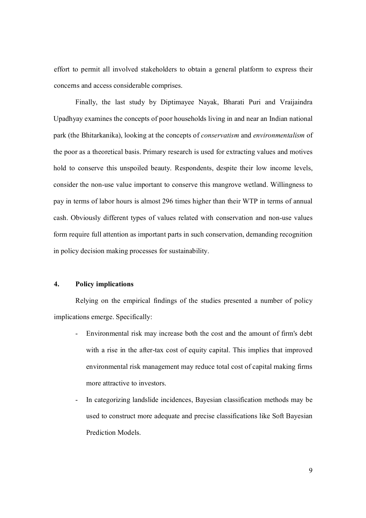effort to permit all involved stakeholders to obtain a general platform to express their concerns and access considerable comprises.

 Finally, the last study by Diptimayee Nayak, Bharati Puri and Vraijaindra Upadhyay examines the concepts of poor households living in and near an Indian national park (the Bhitarkanika), looking at the concepts of *conservatism* and *environmentalism* of the poor as a theoretical basis. Primary research is used for extracting values and motives hold to conserve this unspoiled beauty. Respondents, despite their low income levels, consider the non-use value important to conserve this mangrove wetland. Willingness to pay in terms of labor hours is almost 296 times higher than their WTP in terms of annual cash. Obviously different types of values related with conservation and non-use values form require full attention as important parts in such conservation, demanding recognition in policy decision making processes for sustainability.

## **4. Policy implications**

Relying on the empirical findings of the studies presented a number of policy implications emerge. Specifically:

- Environmental risk may increase both the cost and the amount of firm's debt with a rise in the after-tax cost of equity capital. This implies that improved environmental risk management may reduce total cost of capital making firms more attractive to investors.
- In categorizing landslide incidences, Bayesian classification methods may be used to construct more adequate and precise classifications like Soft Bayesian Prediction Models.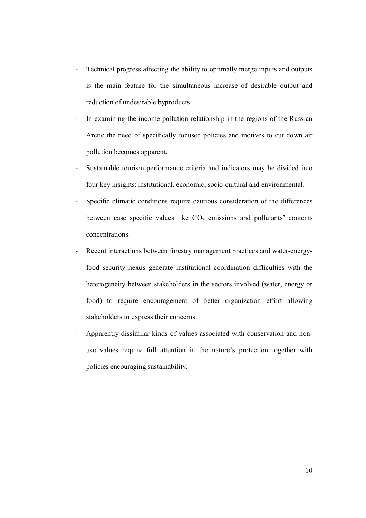- Technical progress affecting the ability to optimally merge inputs and outputs is the main feature for the simultaneous increase of desirable output and reduction of undesirable byproducts.
- In examining the income pollution relationship in the regions of the Russian Arctic the need of specifically focused policies and motives to cut down air pollution becomes apparent.
- Sustainable tourism performance criteria and indicators may be divided into four key insights: institutional, economic, socio-cultural and environmental.
- Specific climatic conditions require cautious consideration of the differences between case specific values like  $CO<sub>2</sub>$  emissions and pollutants' contents concentrations.
- Recent interactions between forestry management practices and water-energyfood security nexus generate institutional coordination difficulties with the heterogeneity between stakeholders in the sectors involved (water, energy or food) to require encouragement of better organization effort allowing stakeholders to express their concerns.
- Apparently dissimilar kinds of values associated with conservation and nonuse values require full attention in the nature's protection together with policies encouraging sustainability.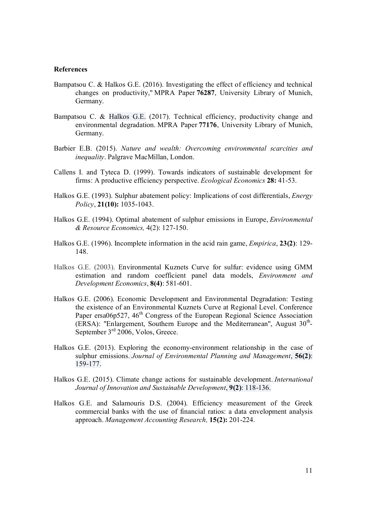#### **References**

- Bampatsou C. & Halkos G.E. (2016). Investigating the effect of efficiency and technical changes on productivity," MPRA Paper **76287**, University Library of Munich, Germany.
- Bampatsou C. & Halkos G.E. (2017). Technical efficiency, productivity change and environmental degradation. MPRA Paper **77176**, University Library of Munich, Germany.
- Barbier E.B. (2015). *Nature and wealth: Overcoming environmental scarcities and inequality*. Palgrave MacMillan, London.
- Callens I. and Tyteca D. (1999). Towards indicators of sustainable development for firms: A productive efficiency perspective. *Ecological Economics* **28:** 41-53.
- Halkos G.E. (1993). Sulphur abatement policy: Implications of cost differentials, *Energy Policy*, **21(10):** 1035-1043.
- Halkos G.E. (1994). Optimal abatement of sulphur emissions in Europe, *Environmental & Resource Economics,* 4(2): 127-150.
- Halkos G.E. (1996). Incomplete information in the acid rain game, *Empirica*, **23(2)**: 129- 148.
- Halkos G.E. (2003). Environmental Kuznets Curve for sulfur: evidence using GMM estimation and random coefficient panel data models, *Environment and Development Economics*, **8(4)**: 581-601.
- Halkos G.E. (2006). Economic Development and Environmental Degradation: Testing the existence of an Environmental Kuznets Curve at Regional Level. Conference Paper ersa06p527, 46<sup>th</sup> Congress of the European Regional Science Association (ERSA): "Enlargement, Southern Europe and the Mediterranean", August  $30<sup>th</sup>$ -September 3<sup>rd</sup> 2006, Volos, Greece.
- Halkos G.E. (2013). Exploring the economy-environment relationship in the case of sulphur emissions. *Journal of Environmental Planning and Management*, **56(2)**: 159-177.
- Halkos G.E. (2015). Climate change actions for sustainable development. *International Journal of Innovation and Sustainable Development*, **9(2)**: 118-136.
- Halkos G.E. and Salamouris D.S. (2004). Efficiency measurement of the Greek commercial banks with the use of financial ratios: a data envelopment analysis approach. *Management Accounting Research,* **15(2):** 201-224.